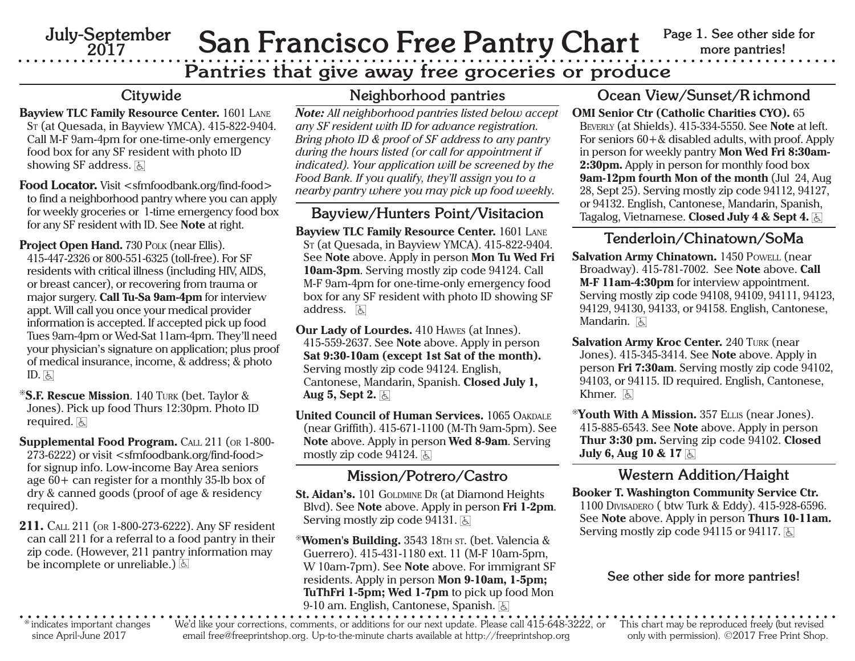**July-September 2017**

# San Francisco Free Pantry Chart **Page 1. See other side for**

### **Pantries that give away free groceries or produce**

#### **Citywide**

- **Bayview TLC Family Resource Center.** 1601 LANE ST (at Quesada, in Bayview YMCA). 415-822-9404. Call M-F 9am-4pm for one-time-only emergency food box for any SF resident with photo ID showing SF address.  $\boxed{5}$
- **Food Locator.** Visit <sfmfoodbank.org/find-food> to find a neighborhood pantry where you can apply for weekly groceries or 1-time emergency food box for any SF resident with ID. See **Note** at right.

Project Open Hand. 730 POLK (near Ellis). 415-447-2326 or 800-551-6325 (toll-free). For SF residents with critical illness (including HIV, AIDS, or breast cancer), or recovering from trauma or major surgery. **Call Tu-Sa 9am-4pm** for interview appt. Will call you once your medical provider information is accepted. If accepted pick up food Tues 9am-4pm or Wed-Sat 11am-4pm. They'll need your physician's signature on application; plus proof of medical insurance, income, & address; & photo ID. હિ

\* **S.F. Rescue Mission**. 140 TURK (bet. Taylor & Jones). Pick up food Thurs 12:30pm. Photo ID required. <u>હિ</u>

**Supplemental Food Program.**  CALL 211 (OR 1-800- 273-6222) or visit <sfmfoodbank.org/find-food> for signup info. Low-income Bay Area seniors age 60+ can register for a monthly 35-lb box of dry & canned goods (proof of age & residency required).

**211.**  CALL 211 (OR 1-800-273-6222). Any SF resident can call 211 for a referral to a food pantry in their zip code. (However, 211 pantry information may be incomplete or unreliable.) 6

#### **Neighborhood pantries**

*Note: All neighborhood pantries listed below accept any SF resident with ID for advance registration. Bring photo ID & proof of SF address to any pantry during the hours listed (or call for appointment if indicated). Your application will be screened by the Food Bank. If you qualify, they'll assign you to a nearby pantry where you may pick up food weekly.*

#### **Bayview/Hunters Point/Visitacion**

**Bayview TLC Family Resource Center.** 1601 LANE ST (at Quesada, in Bayview YMCA). 415-822-9404. See **Note** above. Apply in person **Mon Tu Wed Fri 10am-3pm**. Serving mostly zip code 94124. Call M-F 9am-4pm for one-time-only emergency food box for any SF resident with photo ID showing SF address. [೬]

**Our Lady of Lourdes.** 410 HAWES (at Innes). 415-559-2637. See **Note** above. Apply in person **Sat 9:30-10am (except 1st Sat of the month).**  Serving mostly zip code 94124. English, Cantonese, Mandarin, Spanish. **Closed July 1, Aug 5, Sept 2.**  6

**United Council of Human Services.** 1065 OAKDALE(near Griffith). 415-671-1100 (M-Th 9am-5pm). See **Note** above. Apply in person **Wed 8-9am**. Serving mostly zip code 94124.  $\boxed{5}$ 

#### **Mission/Potrero/Castro**

**St. Aidan's.** 101 GOLDMINE DR (at Diamond Heights Blvd). See **Note** above. Apply in person **Fri 1-2pm**. Serving mostly zip code 94131. 6

\***Women's Building.** 3543 18TH ST. (bet. Valencia & Guerrero). 415-431-1180 ext. 11 (M-F 10am-5pm, W 10am-7pm). See **Note** above. For immigrant SF residents. Apply in person **Mon 9-10am, 1-5pm; TuThFri 1-5pm; Wed 1-7pm** to pick up food Mon 9-10 am. English, Cantonese, Spanish. <u>ह</u>

#### **Ocean View/Sunset/R ichmond**

**OMI Senior Ctr (Catholic Charities CYO).** 65 BEVERLY (at Shields). 415-334-5550. See **Note** at left. For seniors 60+& disabled adults, with proof. Apply in person for weekly pantry **Mon Wed Fri 8:30am-2:30pm.** Apply in person for monthly food box **9am-12pm fourth Mon of the month** (Jul 24, Aug 28, Sept 25). Serving mostly zip code 94112, 94127, or 94132. English, Cantonese, Mandarin, Spanish, Tagalog, Vietnamese. **Closed July 4 & Sept 4.** 6

### **Tenderloin/Chinatown/SoMa**

- **Salvation Army Chinatown.** 1450 POWELL (near Broadway). 415-781-7002. See **Note** above. **Call M-F 11am-4:30pm** for interview appointment. Serving mostly zip code 94108, 94109, 94111, 94123, 94129, 94130, 94133, or 94158. English, Cantonese, Mandarin. हि
- **Salvation Army Kroc Center.** 240 TURK (near Jones). 415-345-3414. See **Note** above. Apply in person **Fri 7:30am**. Serving mostly zip code 94102, 94103, or 94115. ID required. English, Cantonese, Khmer. હિ
- \***Youth With A Mission.** 357 ELLIS (near Jones). 415-885-6543. See **Note** above. Apply in person **Thur 3:30 pm.** Serving zip code 94102. **Closed July 6, Aug 10 & 17**  6

#### **Western Addition/Haight**

**Booker T. Washington Community Service Ctr.** 1100 DIVISADERO ( btw Turk & Eddy). 415-928-6596. See **Note** above. Apply in person **Thurs 10-11am.** Serving mostly zip code 94115 or 94117.  $\&$ 

#### **See other side for more pantries!**

\* indicates important changes since April-June 2017

We'd like your corrections, comments, or additions for our next update. Please call 415-648-3222, or email free@freeprintshop.org. Up-to-the-minute charts available at http://freeprintshop.org

This chart may be reproduced freely (but revised only with permission). ©2017 Free Print Shop.